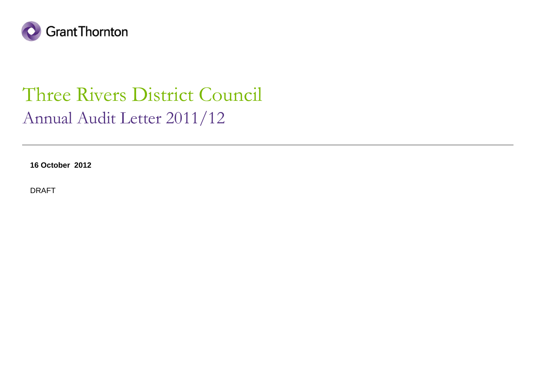

### Three Rivers District CouncilAnnual Audit Letter 2011/12

**16 October 2012**

DRAFT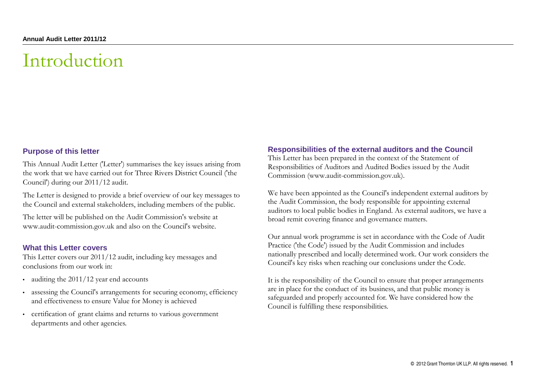### Introduction

### **Purpose of this letter**

This Annual Audit Letter ('Letter') summarises the key issues arising from the work that we have carried out for Three Rivers District Council ('the Council') during our 2011/12 audit.

The Letter is designed to provide a brief overview of our key messages to the Council and external stakeholders, including members of the public.

The letter will be published on the Audit Commission's website at www.audit-commission.gov.uk and also on the Council's website.

#### **What this Letter covers**

 This Letter covers our 2011/12 audit, including key messages and conclusions from our work in:

- auditing the 2011/12 year end accounts
- assessing the Council's arrangements for securing economy, efficiency and effectiveness to ensure Value for Money is achieved
- certification of grant claims and returns to various government departments and other agencies.

#### **Responsibilities of the external auditors and the Council**

This Letter has been prepared in the context of the Statement of Responsibilities of Auditors and Audited Bodies issued by the Audit Commission (www.audit-commission.gov.uk).

We have been appointed as the Council's independent external auditors by the Audit Commission, the body responsible for appointing external auditors to local public bodies in England. As external auditors, we have a broad remit covering finance and governance matters.

Our annual work programme is set in accordance with the Code of Audit Practice ('the Code') issued by the Audit Commission and includes nationally prescribed and locally determined work. Our work considers the Council's key risks when reaching our conclusions under the Code.

It is the responsibility of the Council to ensure that proper arrangements are in place for the conduct of its business, and that public money is safeguarded and properly accounted for. We have considered how the Council is fulfilling these responsibilities.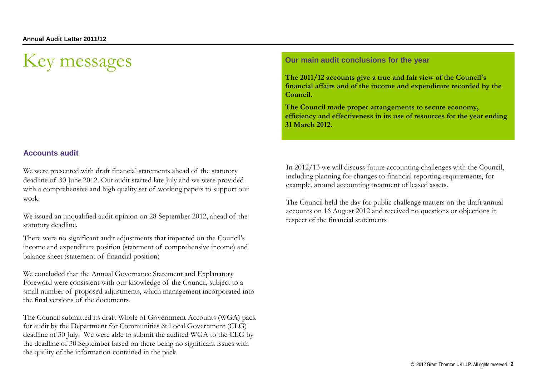## Key messages

### **Accounts audit**

We were presented with draft financial statements ahead of the statutory deadline of 30 June 2012. Our audit started late July and we were provided with a comprehensive and high quality set of working papers to support our work.

We issued an unqualified audit opinion on 28 September 2012, ahead of the statutory deadline.

There were no significant audit adjustments that impacted on the Council's income and expenditure position (statement of comprehensive income) and balance sheet (statement of financial position)

We concluded that the Annual Governance Statement and Explanatory Foreword were consistent with our knowledge of the Council, subject to a small number of proposed adjustments, which management incorporated into the final versions of the documents.

The Council submitted its draft Whole of Government Accounts (WGA) pack for audit by the Department for Communities & Local Government (CLG) deadline of 30 July. We were able to submit the audited WGA to the CLG by the deadline of 30 September based on there being no significant issues with the quality of the information contained in the pack.

#### **Our main audit conclusions for the year**

**The 2011/12 accounts give a true and fair view of the Council's financial affairs and of the income and expenditure recorded by the Council.**

**The Council made proper arrangements to secure economy, efficiency and effectiveness in its use of resources for the year ending 31 March 2012.** 

In 2012/13 we will discuss future accounting challenges with the Council, including planning for changes to financial reporting requirements, for example, around accounting treatment of leased assets.

The Council held the day for public challenge matters on the draft annual accounts on 16 August 2012 and received no questions or objections in respect of the financial statements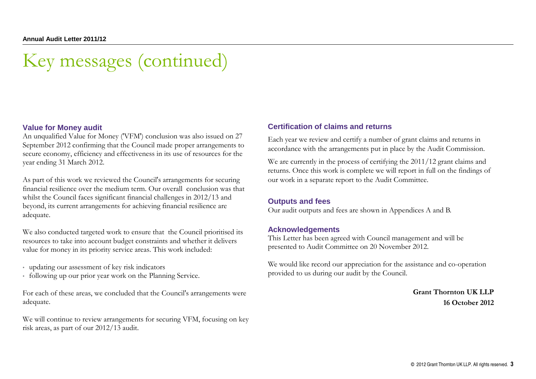## Key messages (continued)

### **Value for Money audit**

 An unqualified Value for Money ('VFM') conclusion was also issued on 27 September 2012 confirming that the Council made proper arrangements to secure economy, efficiency and effectiveness in its use of resources for the year ending 31 March 2012.

As part of this work we reviewed the Council's arrangements for securing financial resilience over the medium term. Our overall conclusion was that whilst the Council faces significant financial challenges in 2012/13 and beyond, its current arrangements for achieving financial resilience are adequate.

We also conducted targeted work to ensure that the Council prioritised its resources to take into account budget constraints and whether it delivers value for money in its priority service areas. This work included:

- updating our assessment of key risk indicators
- following up our prior year work on the Planning Service.

For each of these areas, we concluded that the Council's arrangements were adequate.

We will continue to review arrangements for securing VFM, focusing on key risk areas, as part of our 2012/13 audit.

### **Certification of claims and returns**

Each year we review and certify a number of grant claims and returns in accordance with the arrangements put in place by the Audit Commission.

We are currently in the process of certifying the 2011/12 grant claims and returns. Once this work is complete we will report in full on the findings of our work in a separate report to the Audit Committee.

### **Outputs and fees**

Our audit outputs and fees are shown in Appendices A and B.

#### **Acknowledgements**

 This Letter has been agreed with Council management and will be presented to Audit Committee on 20 November 2012.

We would like record our appreciation for the assistance and co-operation provided to us during our audit by the Council.

> **Grant Thornton UK LLP16 October 2012**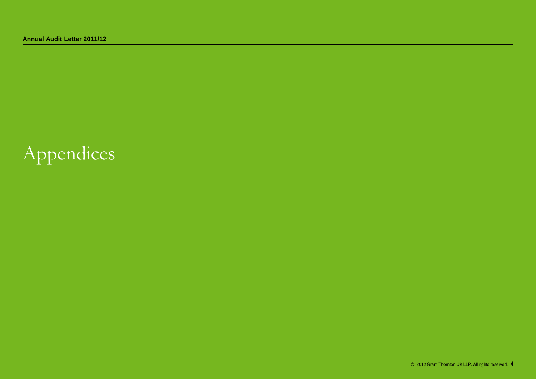# Appendices

© 2012 Grant Thornton UK LLP. All rights reserved. **4**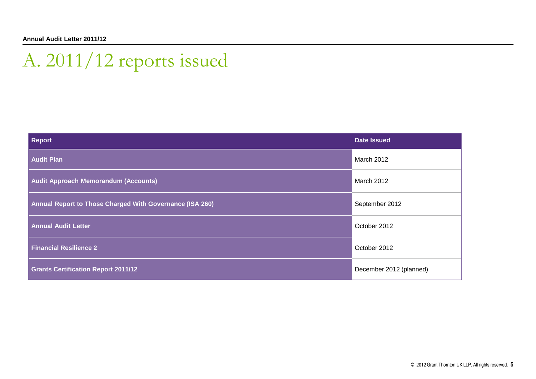# A. 2011/12 reports issued

| Report                                                   | <b>Date Issued</b>      |
|----------------------------------------------------------|-------------------------|
| <b>Audit Plan</b>                                        | March 2012              |
| <b>Audit Approach Memorandum (Accounts)</b>              | March 2012              |
| Annual Report to Those Charged With Governance (ISA 260) | September 2012          |
| <b>Annual Audit Letter</b>                               | October 2012            |
| <b>Financial Resilience 2</b>                            | October 2012            |
| <b>Grants Certification Report 2011/12</b>               | December 2012 (planned) |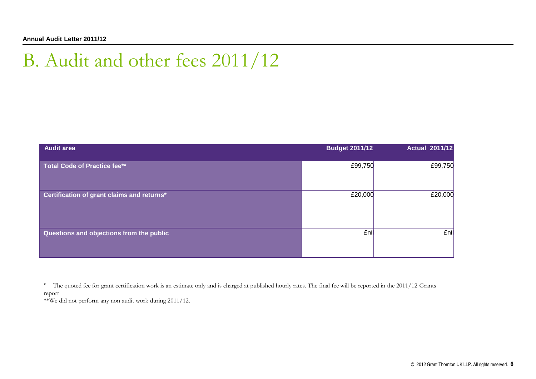### B. Audit and other fees 2011/12

| <b>Audit area</b>                          | <b>Budget 2011/12</b> | <b>Actual 2011/12</b> |
|--------------------------------------------|-----------------------|-----------------------|
| <b>Total Code of Practice fee**</b>        | £99,750               | £99,750               |
| Certification of grant claims and returns* | £20,000               | £20,000               |
| Questions and objections from the public   | £nil                  | £nil                  |

\* The quoted fee for grant certification work is an estimate only and is charged at published hourly rates. The final fee will be reported in the 2011/12 Grants report

\*\*We did not perform any non audit work during 2011/12.